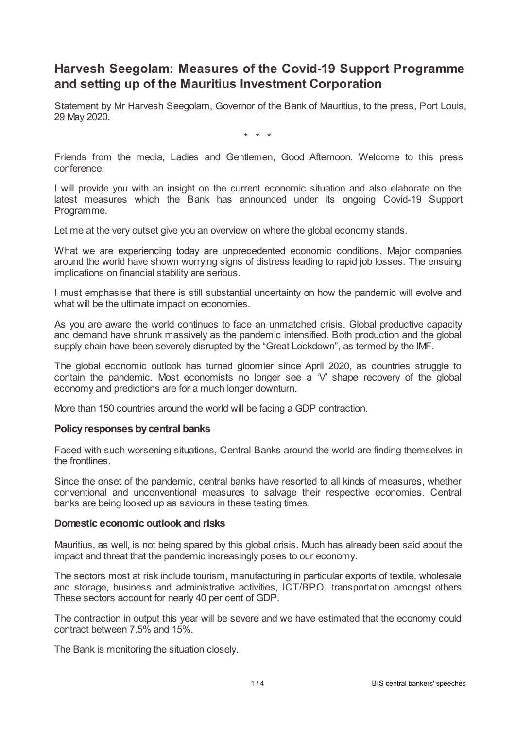# **Harvesh Seegolam: Measures of the Covid-19 Support Programme and setting up of the Mauritius Investment Corporation**

Statement by Mr Harvesh Seegolam, Governor of the Bank of Mauritius, to the press, Port Louis, 29 May 2020.

\* \* \*

Friends from the media, Ladies and Gentlemen, Good Afternoon. Welcome to this press conference.

I will provide you with an insight on the current economic situation and also elaborate on the latest measures which the Bank has announced under its ongoing Covid-19 Support Programme.

Let me at the very outset give you an overview on where the global economy stands.

What we are experiencing today are unprecedented economic conditions. Major companies around the world have shown worrying signs of distress leading to rapid job losses. The ensuing implications on financial stability are serious.

I must emphasise that there is still substantial uncertainty on how the pandemic will evolve and what will be the ultimate impact on economies.

As you are aware the world continues to face an unmatched crisis. Global productive capacity and demand have shrunk massively as the pandemic intensified. Both production and the global supply chain have been severely disrupted by the "Great Lockdown", as termed by the IMF.

The global economic outlook has turned gloomier since April 2020, as countries struggle to contain the pandemic. Most economists no longer see a 'V' shape recovery of the global economy and predictions are for a much longer downturn.

More than 150 countries around the world will be facing a GDP contraction.

## **Policyresponses bycentral banks**

Faced with such worsening situations, Central Banks around the world are finding themselves in the frontlines.

Since the onset of the pandemic, central banks have resorted to all kinds of measures, whether conventional and unconventional measures to salvage their respective economies. Central banks are being looked up as saviours in these testing times.

## **Domestic economic outlook and risks**

Mauritius, as well, is not being spared by this global crisis. Much has already been said about the impact and threat that the pandemic increasingly poses to our economy.

The sectors most at risk include tourism, manufacturing in particular exports of textile, wholesale and storage, business and administrative activities, ICT/BPO, transportation amongst others. These sectors account for nearly 40 per cent of GDP.

The contraction in output this year will be severe and we have estimated that the economy could contract between 7.5% and 15%.

The Bank is monitoring the situation closely.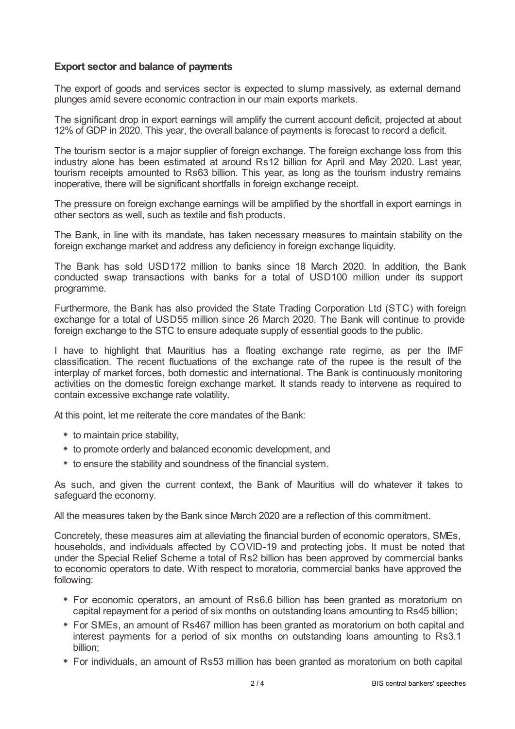# **Export sector and balance of payments**

The export of goods and services sector is expected to slump massively, as external demand plunges amid severe economic contraction in our main exports markets.

The significant drop in export earnings will amplify the current account deficit, projected at about 12% of GDP in 2020. This year, the overall balance of payments is forecast to record a deficit.

The tourism sector is a major supplier of foreign exchange. The foreign exchange loss from this industry alone has been estimated at around Rs12 billion for April and May 2020. Last year, tourism receipts amounted to Rs63 billion. This year, as long as the tourism industry remains inoperative, there will be significant shortfalls in foreign exchange receipt.

The pressure on foreign exchange earnings will be amplified by the shortfall in export earnings in other sectors as well, such as textile and fish products.

The Bank, in line with its mandate, has taken necessary measures to maintain stability on the foreign exchange market and address any deficiency in foreign exchange liquidity.

The Bank has sold USD172 million to banks since 18 March 2020. In addition, the Bank conducted swap transactions with banks for a total of USD100 million under its support programme.

Furthermore, the Bank has also provided the State Trading Corporation Ltd (STC) with foreign exchange for a total of USD55 million since 26 March 2020. The Bank will continue to provide foreign exchange to the STC to ensure adequate supply of essential goods to the public.

I have to highlight that Mauritius has a floating exchange rate regime, as per the IMF classification. The recent fluctuations of the exchange rate of the rupee is the result of the interplay of market forces, both domestic and international. The Bank is continuously monitoring activities on the domestic foreign exchange market. It stands ready to intervene as required to contain excessive exchange rate volatility.

At this point, let me reiterate the core mandates of the Bank:

- to maintain price stability,
- to promote orderly and balanced economic development, and
- $*$  to ensure the stability and soundness of the financial system.

As such, and given the current context, the Bank of Mauritius will do whatever it takes to safeguard the economy.

All the measures taken by the Bank since March 2020 are a reflection of this commitment.

Concretely, these measures aim at alleviating the financial burden of economic operators, SMEs, households, and individuals affected by COVID-19 and protecting jobs. It must be noted that under the Special Relief Scheme a total of Rs2 billion has been approved by commercial banks to economic operators to date. With respect to moratoria, commercial banks have approved the following:

- For economic operators, an amount of Rs6.6 billion has been granted as moratorium on capital repayment for a period of six months on outstanding loans amounting to Rs45 billion;
- For SMEs, an amount of Rs467 million has been granted as moratorium on both capital and interest payments for a period of six months on outstanding loans amounting to Rs3.1 billion;
- For individuals, an amount of Rs53 million has been granted as moratorium on both capital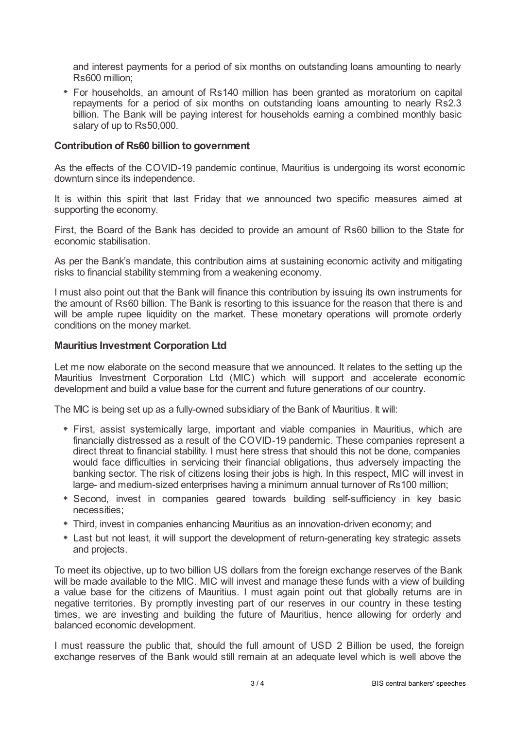and interest payments for a period of six months on outstanding loans amounting to nearly Rs600 million;

For households, an amount of Rs140 million has been granted as moratorium on capital repayments for a period of six months on outstanding loans amounting to nearly Rs2.3 billion. The Bank will be paying interest for households earning a combined monthly basic salary of up to Rs50,000.

## **Contribution of Rs60 billion to government**

As the effects of the COVID-19 pandemic continue, Mauritius is undergoing its worst economic downturn since its independence.

It is within this spirit that last Friday that we announced two specific measures aimed at supporting the economy.

First, the Board of the Bank has decided to provide an amount of Rs60 billion to the State for economic stabilisation.

As per the Bank's mandate, this contribution aims at sustaining economic activity and mitigating risks to financial stability stemming from a weakening economy.

I must also point out that the Bank will finance this contribution by issuing its own instruments for the amount of Rs60 billion. The Bank is resorting to this issuance for the reason that there is and will be ample rupee liquidity on the market. These monetary operations will promote orderly conditions on the money market.

## **Mauritius Investment Corporation Ltd**

Let me now elaborate on the second measure that we announced. It relates to the setting up the Mauritius Investment Corporation Ltd (MIC) which will support and accelerate economic development and build a value base for the current and future generations of our country.

The MIC is being set up as a fully-owned subsidiary of the Bank of Mauritius. It will:

- First, assist systemically large, important and viable companies in Mauritius, which are financially distressed as a result of the COVID-19 pandemic. These companies represent a direct threat to financial stability. I must here stress that should this not be done, companies would face difficulties in servicing their financial obligations, thus adversely impacting the banking sector. The risk of citizens losing their jobs is high. In this respect, MIC will invest in large- and medium-sized enterprises having a minimum annual turnover of Rs100 million;
- Second, invest in companies geared towards building self-sufficiency in key basic necessities;
- Third, invest in companies enhancing Mauritius as an innovation-driven economy; and
- Last but not least, it will support the development of return-generating key strategic assets and projects.

To meet its objective, up to two billion US dollars from the foreign exchange reserves of the Bank will be made available to the MIC. MIC will invest and manage these funds with a view of building a value base for the citizens of Mauritius. I must again point out that globally returns are in negative territories. By promptly investing part of our reserves in our country in these testing times, we are investing and building the future of Mauritius, hence allowing for orderly and balanced economic development.

I must reassure the public that, should the full amount of USD 2 Billion be used, the foreign exchange reserves of the Bank would still remain at an adequate level which is well above the